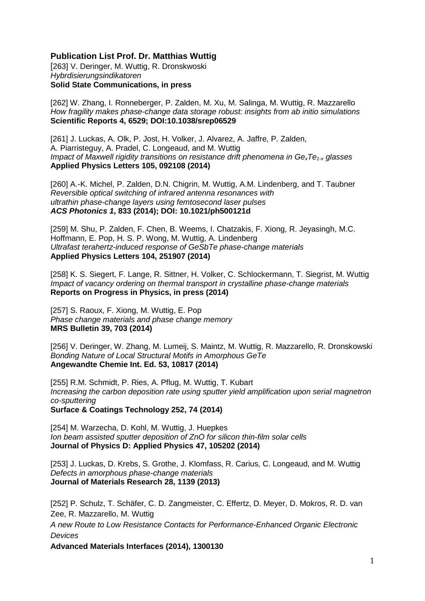## **Publication List Prof. Dr. Matthias Wuttig**

[263] V. Deringer, M. Wuttig, R. Dronskwoski *Hybrdisierungsindikatoren* **Solid State Communications, in press** 

[262] W. Zhang, I. Ronneberger, P. Zalden, M. Xu, M. Salinga, M. Wuttig, R. Mazzarello *How fragility makes phase-change data storage robust: insights from ab initio simulations* **Scientific Reports 4, 6529; DOI:10.1038/srep06529** 

[261] J. Luckas, A. Olk, P. Jost, H. Volker, J. Alvarez, A. Jaffre, P. Zalden, A. Piarristeguy, A. Pradel, C. Longeaud, and M. Wuttig *Impact of Maxwell rigidity transitions on resistance drift phenomena in Ge<sub>x</sub>Te<sub>1-x</sub> glasses* **Applied Physics Letters 105, 092108 (2014)**

[260] A.-K. Michel, P. Zalden, D.N. Chigrin, M. Wuttig, A.M. Lindenberg, and T. Taubner *Reversible optical switching of infrared antenna resonances with ultrathin phase-change layers using femtosecond laser pulses ACS Photonics 1***, 833 (2014); DOI: 10.1021/ph500121d**

[259] M. Shu, P. Zalden, F. Chen, B. Weems, I. Chatzakis, F. Xiong, R. Jeyasingh, M.C. Hoffmann, E. Pop, H. S. P. Wong, M. Wuttig, A. Lindenberg *Ultrafast terahertz-induced response of GeSbTe phase-change materials* **Applied Physics Letters 104, 251907 (2014)**

[258] K. S. Siegert, F. Lange, R. Sittner, H. Volker, C. Schlockermann, T. Siegrist, M. Wuttig *Impact of vacancy ordering on thermal transport in crystalline phase-change materials* **Reports on Progress in Physics, in press (2014)**

[257] S. Raoux, F. Xiong, M. Wuttig, E. Pop *Phase change materials and phase change memory*  **MRS Bulletin 39, 703 (2014)**

[256] V. Deringer, W. Zhang, M. Lumeij, S. Maintz, M. Wuttig, R. Mazzarello, R. Dronskowski *Bonding Nature of Local Structural Motifs in Amorphous GeTe*  **Angewandte Chemie Int. Ed. 53, 10817 (2014)**

[255] R.M. Schmidt, P. Ries, A. Pflug, M. Wuttig, T. Kubart *Increasing the carbon deposition rate using sputter yield amplification upon serial magnetron co-sputtering*  **Surface & Coatings Technology 252, 74 (2014)**

[254] M. Warzecha, D. Kohl, M. Wuttig, J. Huepkes *Ion beam assisted sputter deposition of ZnO for silicon thin-film solar cells*  **Journal of Physics D: Applied Physics 47, 105202 (2014)**

[253] J. Luckas, D. Krebs, S. Grothe, J. Klomfass, R. Carius, C. Longeaud, and M. Wuttig *Defects in amorphous phase-change materials* **Journal of Materials Research 28, 1139 (2013)**

[252] P. Schulz, T. Schäfer, C. D. Zangmeister, C. Effertz, D. Meyer, D. Mokros, R. D. van Zee, R. Mazzarello, M. Wuttig *A new Route to Low Resistance Contacts for Performance-Enhanced Organic Electronic Devices*

**Advanced Materials Interfaces (2014), 1300130**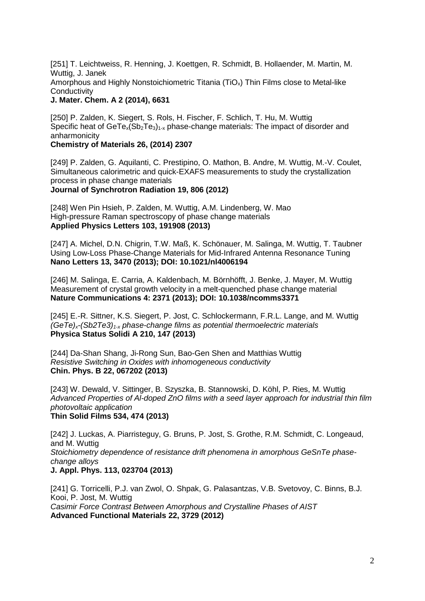[251] [T. Leichtweiss,](http://pubs.rsc.org/en/results?searchtext=Author%3AThomas%20Leichtweiss) [R. Henning,](http://pubs.rsc.org/en/results?searchtext=Author%3ARalph%20A.%20Henning) [J. Koettgen,](http://pubs.rsc.org/en/results?searchtext=Author%3AJulius%20Koettgen) [R. Schmidt,](http://pubs.rsc.org/en/results?searchtext=Author%3AR%C3%BCdiger%20M.%20Schmidt) [B. Hollaender,](http://pubs.rsc.org/en/results?searchtext=Author%3ABernd%20Hollaender) [M. Martin,](http://pubs.rsc.org/en/results?searchtext=Author%3AManfred%20Martin) [M.](http://pubs.rsc.org/en/results?searchtext=Author%3AMatthias%20Wuttig)  [Wuttig,](http://pubs.rsc.org/en/results?searchtext=Author%3AMatthias%20Wuttig) [J. Janek](http://pubs.rsc.org/en/results?searchtext=Author%3AJuergen%20Janek) Amorphous and Highly Nonstoichiometric Titania (TiO<sub>x</sub>) Thin Films close to Metal-like **Conductivity** 

### **J. Mater. Chem. A 2 (2014), 6631**

[250] P. Zalden, K. Siegert, S. Rols, H. Fischer, F. Schlich, T. Hu, M. Wuttig Specific heat of  $Ger E_x(Sb_2Te_3)_{1-x}$  phase-change materials: The impact of disorder and anharmonicity

### **Chemistry of Materials 26, (2014) 2307**

[249] P. Zalden, G. Aquilanti, C. Prestipino, O. Mathon, B. Andre, M. Wuttig, M.-V. Coulet, Simultaneous calorimetric and quick-EXAFS measurements to study the crystallization process in phase change materials **Journal of Synchrotron Radiation 19, 806 (2012)**

[248] Wen Pin Hsieh, P. Zalden, M. Wuttig, A.M. Lindenberg, W. Mao High-pressure Raman spectroscopy of phase change materials **Applied Physics Letters 103, 191908 (2013)**

[247] A. Michel, D.N. Chigrin, T.W. Maß, K. Schönauer, M. Salinga, M. Wuttig, T. Taubner Using Low-Loss Phase-Change Materials for Mid-Infrared Antenna Resonance Tuning **Nano Letters 13, 3470 (2013); DOI: 10.1021/nl4006194**

[246] M. Salinga, E. Carria, A. Kaldenbach, M. Börnhöfft, J. Benke, J. Mayer, M. Wuttig Measurement of crystal growth velocity in a melt-quenched phase change material **Nature Communications 4: 2371 (2013); DOI: 10.1038/ncomms3371**

[245] E.-R. Sittner, K.S. Siegert, P. Jost, C. Schlockermann, F.R.L. Lange, and M. Wuttig *(GeTe)x-(Sb2Te3)1-x phase-change films as potential thermoelectric materials* **Physica Status Solidi A 210, 147 (2013)**

[244] Da-Shan Shang, Ji-Rong Sun, Bao-Gen Shen and Matthias Wuttig *Resistive Switching in Oxides with inhomogeneous conductivity* **Chin. Phys. B 22, 067202 (2013)**

[243] W. Dewald, V. Sittinger, B. Szyszka, B. Stannowski, D. Köhl, P. Ries, M. Wuttig *Advanced Properties of Al-doped ZnO films with a seed layer approach for industrial thin film photovoltaic application* **Thin Solid Films 534, 474 (2013)**

[242] J. Luckas, A. Piarristeguy, G. Bruns, P. Jost, S. Grothe, R.M. Schmidt, C. Longeaud, and M. Wuttig *Stoichiometry dependence of resistance drift phenomena in amorphous GeSnTe phasechange alloys* **J. Appl. Phys. 113, 023704 (2013)**

[241] G. Torricelli, P.J. van Zwol, O. Shpak, G. Palasantzas, V.B. Svetovoy, C. Binns, B.J. Kooi, P. Jost, M. Wuttig *Casimir Force Contrast Between Amorphous and Crystalline Phases of AIST*  **Advanced Functional Materials 22, 3729 (2012)**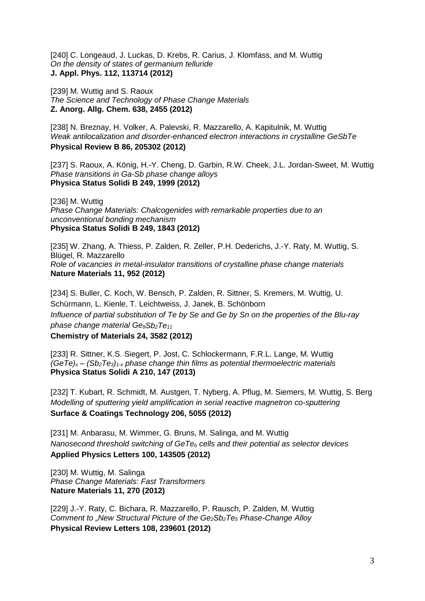[240] C. Longeaud, J. Luckas, D. Krebs, R. Carius, J. Klomfass, and M. Wuttig *On the density of states of germanium telluride* **J. Appl. Phys. 112, 113714 (2012)**

[239] M. Wuttig and S. Raoux *The Science and Technology of Phase Change Materials* **Z. Anorg. Allg. Chem. 638, 2455 (2012)**

[238] N. Breznay, H. Volker, A. Palevski, R. Mazzarello, A. Kapitulnik, M. Wuttig *Weak antilocalization and disorder-enhanced electron interactions in crystalline GeSbTe* **Physical Review B 86, 205302 (2012)**

[237] S. Raoux, A. König, H.-Y. Cheng, D. Garbin, R.W. Cheek, J.L. Jordan-Sweet, M. Wuttig *Phase transitions in Ga-Sb phase change alloys* **Physica Status Solidi B 249, 1999 (2012)**

[236] M. Wuttig *Phase Change Materials: Chalcogenides with remarkable properties due to an unconventional bonding mechanism* **Physica Status Solidi B 249, 1843 (2012)**

[235] W. Zhang, A. Thiess, P. Zalden, R. Zeller, P.H. Dederichs, J.-Y. Raty, M. Wuttig, S. Blügel, R. Mazzarello *Role of vacancies in metal-insulator transitions of crystalline phase change materials*  **Nature Materials 11, 952 (2012)**

[234] S. Buller, C. Koch, W. Bensch, P. Zalden, R. Sittner, S. Kremers, M. Wuttig, U. Schürmann, L. Kienle, T. Leichtweiss, J. Janek, B. Schönborn *Influence of partial substitution of Te by Se and Ge by Sn on the properties of the Blu-ray phase change material Ge8Sb2Te11*

**Chemistry of Materials 24, 3582 (2012)**

[233] R. Sittner, K.S. Siegert, P. Jost, C. Schlockermann, F.R.L. Lange, M. Wuttig  $(GeTe)<sub>x</sub>$  –  $(Sb<sub>2</sub>Te<sub>3</sub>)<sub>1-x</sub>$  *phase change thin films as potential thermoelectric materials* **Physica Status Solidi A 210, 147 (2013)**

[232] T. Kubart, R. Schmidt, M. Austgen, T. Nyberg, A. Pflug, M. Siemers, M. Wuttig, S. Berg *Modelling of sputtering yield amplification in serial reactive magnetron co-sputtering* **Surface & Coatings Technology 206, 5055 (2012)**

[231] M. Anbarasu, M. Wimmer, G. Bruns, M. Salinga, and M. Wuttig *Nanosecond threshold switching of GeTe6 cells and their potential as selector devices* **Applied Physics Letters 100, 143505 (2012)**

[230] M. Wuttig, M. Salinga *Phase Change Materials: Fast Transformers* **Nature Materials 11, 270 (2012)**

[229] J.-Y. Raty, C. Bichara, R. Mazzarello, P. Rausch, P. Zalden, M. Wuttig *Comment to "New Structural Picture of the Ge2Sb2Te5 Phase-Change Alloy* **Physical Review Letters 108, 239601 (2012)**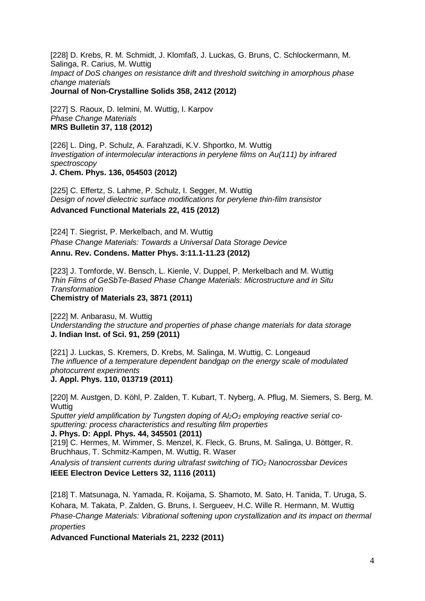[228] D. Krebs, R. M. Schmidt, J. Klomfaß, J. Luckas, G. Bruns, C. Schlockermann, M. Salinga, R. Carius, M. Wuttig *Impact of DoS changes on resistance drift and threshold switching in amorphous phase change materials* **Journal of Non-Crystalline Solids 358, 2412 (2012)**

[227] S. Raoux, D. Ielmini, M. Wuttig, I. Karpov *Phase Change Materials* **MRS Bulletin 37, 118 (2012)**

[226] L. Ding, P. Schulz, A. Farahzadi, K.V. Shportko, M. Wuttig *Investigation of intermolecular interactions in perylene films on Au(111) by infrared spectroscopy*

**J. Chem. Phys. 136, 054503 (2012)**

[225] C. Effertz, S. Lahme, P. Schulz, I. Segger, M. Wuttig *Design of novel dielectric surface modifications for perylene thin-film transistor* **Advanced Functional Materials 22, 415 (2012)**

[224] T. Siegrist, P. Merkelbach, and M. Wuttig *Phase Change Materials: Towards a Universal Data Storage Device* **Annu. Rev. Condens. Matter Phys. 3:11.1-11.23 (2012)**

[223] J. Tomforde, W. Bensch, L. Kienle, V. Duppel, P. Merkelbach and M. Wuttig *Thin Films of GeSbTe-Based Phase Change Materials: Microstructure and in Situ Transformation* **Chemistry of Materials 23, 3871 (2011)**

[222] M. Anbarasu, M. Wuttig *Understanding the structure and properties of phase change materials for data storage* 

**J. Indian Inst. of Sci. 91, 259 (2011)**

[221] J. Luckas, S. Kremers, D. Krebs, M. Salinga, M. Wuttig, C. Longeaud *The influence of a temperature dependent bandgap on the energy scale of modulated photocurrent experiments* **J. Appl. Phys. 110, 013719 (2011)**

[220] M. Austgen, D. Köhl, P. Zalden, T. Kubart, T. Nyberg, A. Pflug, M. Siemers, S. Berg, M. **Wuttig** 

Sputter yield amplification by Tungsten doping of Al<sub>2</sub>O<sub>3</sub> employing reactive serial co*sputtering: process characteristics and resulting film properties*

**J. Phys. D: Appl. Phys. 44, 345501 (2011)**

[219] C. Hermes, M. Wimmer, S. Menzel, K. Fleck, G. Bruns, M. Salinga, U. Böttger, R. Bruchhaus, T. Schmitz-Kampen, M. Wuttig, R. Waser

*Analysis of transient currents during ultrafast switching of TiO2 Nanocrossbar Devices* **IEEE Electron Device Letters 32, 1116 (2011)**

[218] T. Matsunaga, N. Yamada, R. Koijama, S. Shamoto, M. Sato, H. Tanida, T. Uruga, S. Kohara, M. Takata, P. Zalden, G. Bruns, I. Sergueev, H.C. Wille R. Hermann, M. Wuttig *Phase-Change Materials: Vibrational softening upon crystallization and its impact on thermal properties*

**Advanced Functional Materials 21, 2232 (2011)**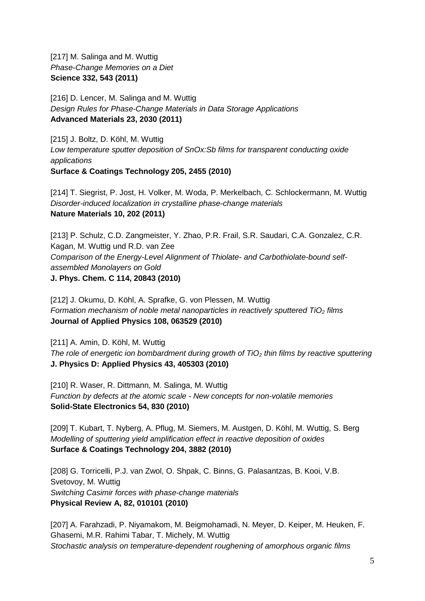[217] M. Salinga and M. Wuttig *Phase-Change Memories on a Diet* **Science 332, 543 (2011)**

[216] D. Lencer, M. Salinga and M. Wuttig *Design Rules for Phase-Change Materials in Data Storage Applications* **Advanced Materials 23, 2030 (2011)**

[215] J. Boltz, D. Köhl, M. Wuttig *Low temperature sputter deposition of SnOx:Sb films for transparent conducting oxide applications* **Surface & Coatings Technology 205, 2455 (2010)**

[214] T. Siegrist, P. Jost, H. Volker, M. Woda, P. Merkelbach, C. Schlockermann, M. Wuttig *Disorder-induced localization in crystalline phase-change materials* **Nature Materials 10, 202 (2011)**

[213] P. Schulz, C.D. Zangmeister, Y. Zhao, P.R. Frail, S.R. Saudari, C.A. Gonzalez, C.R. Kagan, M. Wuttig und R.D. van Zee *Comparison of the Energy-Level Alignment of Thiolate- and Carbothiolate-bound selfassembled Monolayers on Gold* **J. Phys. Chem. C 114, 20843 (2010)**

[212] J. Okumu, D. Köhl, A. Sprafke, G. von Plessen, M. Wuttig *Formation mechanism of noble metal nanoparticles in reactively sputtered TiO<sub>2</sub> films* **Journal of Applied Physics 108, 063529 (2010)**

[211] A. Amin, D. Köhl, M. Wuttig *The role of energetic ion bombardment during growth of TiO2 thin films by reactive sputtering* **J. Physics D: Applied Physics 43, 405303 (2010)**

[210] R. Waser, R. Dittmann, M. Salinga, M. Wuttig *[Function by defects at the atomic scale -](http://apps.isiknowledge.com/full_record.do?product=WOS&search_mode=GeneralSearch&qid=1&SID=Z1hIjMANdJ2lJGg6mGF&page=1&doc=1) New concepts for non-volatile memories* **Solid-State Electronics 54, 830 (2010)**

[209] T. Kubart, T. Nyberg, A. Pflug, M. Siemers, M. Austgen, D. Köhl, M. Wuttig, S. Berg *[Modelling of sputtering yield amplification effect in reactive deposition of oxides](http://apps.isiknowledge.com/full_record.do?product=WOS&search_mode=GeneralSearch&qid=1&SID=Z1hIjMANdJ2lJGg6mGF&page=1&doc=2)* **Surface & Coatings Technology 204, 3882 (2010)**

[208] G. Torricelli, P.J. van Zwol, O. Shpak, C. Binns, G. Palasantzas, B. Kooi, V.B. Svetovoy, M. Wuttig *[Switching Casimir forces with phase-change materials](http://apps.isiknowledge.com/full_record.do?product=WOS&search_mode=GeneralSearch&qid=1&SID=Z1hIjMANdJ2lJGg6mGF&page=1&doc=3)* **Physical Review A, 82, 010101 (2010)**

[207] A. Farahzadi, P. Niyamakom, M. Beigmohamadi, N. Meyer, D. Keiper, M. Heuken, F. Ghasemi, M.R. Rahimi Tabar, T. Michely, M. Wuttig *[Stochastic analysis on temperature-dependent roughening of amorphous organic films](http://apps.isiknowledge.com/full_record.do?product=WOS&search_mode=GeneralSearch&qid=1&SID=Z1hIjMANdJ2lJGg6mGF&page=1&doc=4)*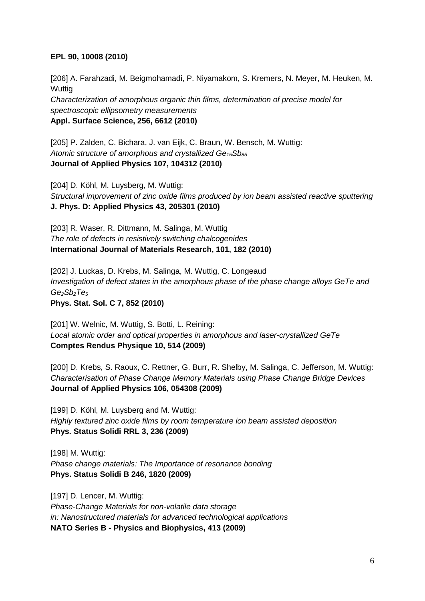### **EPL 90, 10008 (2010)**

[206] A. Farahzadi, M. Beigmohamadi, P. Niyamakom, S. Kremers, N. Meyer, M. Heuken, M. **Wuttig** *[Characterization of amorphous organic thin films, determination of precise model for](http://apps.isiknowledge.com/full_record.do?product=WOS&search_mode=GeneralSearch&qid=1&SID=Z1hIjMANdJ2lJGg6mGF&page=1&doc=5)  [spectroscopic ellipsometry measurements](http://apps.isiknowledge.com/full_record.do?product=WOS&search_mode=GeneralSearch&qid=1&SID=Z1hIjMANdJ2lJGg6mGF&page=1&doc=5)* **Appl. Surface Science, 256, 6612 (2010)**

[205] P. Zalden, C. Bichara, J. van Eijk, C. Braun, W. Bensch, M. Wuttig: Atomic structure of amorphous and crystallized Ge<sub>15</sub>Sb<sub>85</sub> **Journal of Applied Physics 107, 104312 (2010)**

[204] D. Köhl, M. Luysberg, M. Wuttig: *Structural improvement of zinc oxide films produced by ion beam assisted reactive sputtering* **J. Phys. D: Applied Physics 43, 205301 (2010)**

[203] R. Waser, R. Dittmann, M. Salinga, M. Wuttig *[The role of defects in resistively switching chalcogenides](http://apps.isiknowledge.com/full_record.do?product=WOS&search_mode=GeneralSearch&qid=1&SID=Z1hIjMANdJ2lJGg6mGF&page=1&doc=9)* **International Journal of Materials Research, 101, 182 (2010)**

[202] J. Luckas, D. Krebs, M. Salinga, M. Wuttig, C. Longeaud *Investigation of defect states in the amorphous phase of the phase change alloys GeTe and Ge2Sb2Te5* **Phys. Stat. Sol. C 7, 852 (2010)**

[201] W. Welnic, M. Wuttig, S. Botti, L. Reining: *Local atomic order and optical properties in amorphous and laser-crystallized GeTe* **Comptes Rendus Physique 10, 514 (2009)**

[200] D. Krebs, S. Raoux, C. Rettner, G. Burr, R. Shelby, M. Salinga, C. Jefferson, M. Wuttig: *Characterisation of Phase Change Memory Materials using Phase Change Bridge Devices* **Journal of Applied Physics 106, 054308 (2009)**

[199] D. Köhl, M. Luysberg and M. Wuttig: *Highly textured zinc oxide films by room temperature ion beam assisted deposition*  **Phys. Status Solidi RRL 3, 236 (2009)**

[198] M. Wuttig: *Phase change materials: The Importance of resonance bonding*  **Phys. Status Solidi B 246, 1820 (2009)**

[197] D. Lencer, M. Wuttig: *Phase-Change Materials for non-volatile data storage in: Nanostructured materials for advanced technological applications*  **NATO Series B - Physics and Biophysics, 413 (2009)**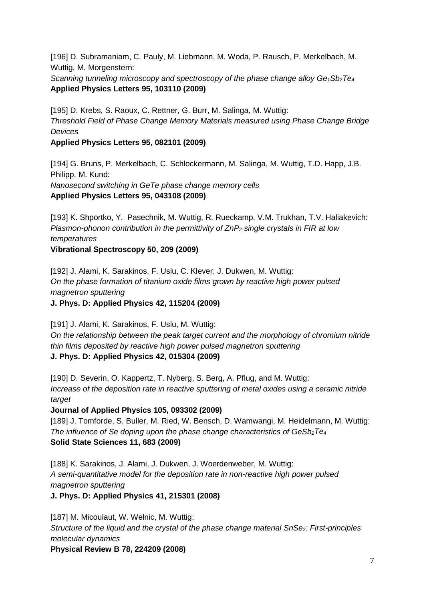[196] D. Subramaniam, C. Pauly, M. Liebmann, M. Woda, P. Rausch, P. Merkelbach, M. Wuttig, M. Morgenstern:

*Scanning tunneling microscopy and spectroscopy of the phase change alloy Ge<sub>1</sub>Sb<sub>2</sub>Te<sub>4</sub>* **Applied Physics Letters 95, 103110 (2009)**

[195] D. Krebs, S. Raoux, C. Rettner, G. Burr, M. Salinga, M. Wuttig: *Threshold Field of Phase Change Memory Materials measured using Phase Change Bridge Devices*

**Applied Physics Letters 95, 082101 (2009)**

[194] G. Bruns, P. Merkelbach, C. Schlockermann, M. Salinga, M. Wuttig, T.D. Happ, J.B. Philipp, M. Kund: *Nanosecond switching in GeTe phase change memory cells* 

**Applied Physics Letters 95, 043108 (2009)**

[193] K. Shportko, Y. Pasechnik, M. Wuttig, R. Rueckamp, V.M. Trukhan, T.V. Haliakevich: *Plasmon-phonon contribution in the permittivity of ZnP2 single crystals in FIR at low temperatures*

**Vibrational Spectroscopy 50, 209 (2009)**

[192] J. Alami, K. Sarakinos, F. Uslu, C. Klever, J. Dukwen, M. Wuttig: *On the phase formation of titanium oxide films grown by reactive high power pulsed magnetron sputtering*

**J. Phys. D: Applied Physics 42, 115204 (2009)** 

[191] J. Alami, K. Sarakinos, F. Uslu, M. Wuttig: *On the relationship between the peak target current and the morphology of chromium nitride thin films deposited by reactive high power pulsed magnetron sputtering*  **J. Phys. D: Applied Physics 42, 015304 (2009)**

[190] D. Severin, O. Kappertz, T. Nyberg, S. Berg, A. Pflug, and M. Wuttig: *Increase of the deposition rate in reactive sputtering of metal oxides using a ceramic nitride target*

**Journal of Applied Physics 105, 093302 (2009)**

[189] J. Tomforde, S. Buller, M. Ried, W. Bensch, D. Wamwangi, M. Heidelmann, M. Wuttig: *The influence of Se doping upon the phase change characteristics of GeSb<sub>2</sub>Te<sub>4</sub>* **Solid State Sciences 11, 683 (2009)** 

[188] K. Sarakinos, J. Alami, J. Dukwen, J. Woerdenweber, M. Wuttig: *A semi-quantitative model for the deposition rate in non-reactive high power pulsed magnetron sputtering* 

**J. Phys. D: Applied Physics 41, 215301 (2008)**

[187] M. Micoulaut, W. Welnic, M. Wuttig: *Structure of the liquid and the crystal of the phase change material SnSe<sub>2</sub>: First-principles molecular dynamics* **Physical Review B 78, 224209 (2008)**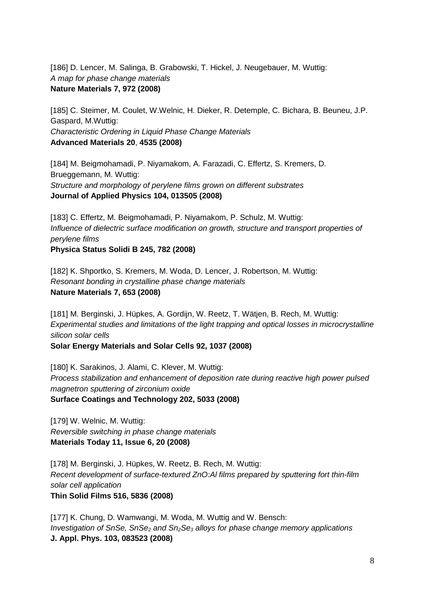[186] D. Lencer, M. Salinga, B. Grabowski, T. Hickel, J. Neugebauer, M. Wuttig: *A map for phase change materials* **Nature Materials 7, 972 (2008)**

[185] C. Steimer, M. Coulet, W.Welnic, H. Dieker, R. Detemple, C. Bichara, B. Beuneu, J.P. Gaspard, M.Wuttig: *Characteristic Ordering in Liquid Phase Change Materials* **Advanced Materials 20**, **4535 (2008)**

[184] M. Beigmohamadi, P. Niyamakom, A. Farazadi, C. Effertz, S. Kremers, D. Brueggemann, M. Wuttig: *Structure and morphology of perylene films grown on different substrates*  **Journal of Applied Physics 104, 013505 (2008)**

[183] C. Effertz, M. Beigmohamadi, P. Niyamakom, P. Schulz, M. Wuttig: *Influence of dielectric surface modification on growth, structure and transport properties of perylene films*

**Physica Status Solidi B 245, 782 (2008)**

[182] K. Shportko, S. Kremers, M. Woda, D. Lencer, J. Robertson, M. Wuttig: *Resonant bonding in crystalline phase change materials* **Nature Materials 7, 653 (2008)**

[181] M. Berginski, J. Hüpkes, A. Gordijn, W. Reetz, T. Wätjen, B. Rech, M. Wuttig: *Experimental studies and limitations of the light trapping and optical losses in microcrystalline silicon solar cells*  **Solar Energy Materials and Solar Cells 92, 1037 (2008)**

[180] K. Sarakinos, J. Alami, C. Klever, M. Wuttig: *Process stabilization and enhancement of deposition rate during reactive high power pulsed magnetron sputtering of zirconium oxide*  **Surface Coatings and Technology 202, 5033 (2008)**

[179] W. Welnic, M. Wuttig: *Reversible switching in phase change materials*  **Materials Today 11, Issue 6, 20 (2008)**

[178] M. Berginski, J. Hüpkes, W. Reetz, B. Rech, M. Wuttig: *Recent development of surface-textured ZnO:Al films prepared by sputtering fort thin-film solar cell application* **Thin Solid Films 516, 5836 (2008)**

[177] K. Chung, D. Wamwangi, M. Woda, M. Wuttig and W. Bensch: *Investigation of SnSe, SnSe2 and Sn2Se3 alloys for phase change memory applications* **J. Appl. Phys. 103, 083523 (2008)**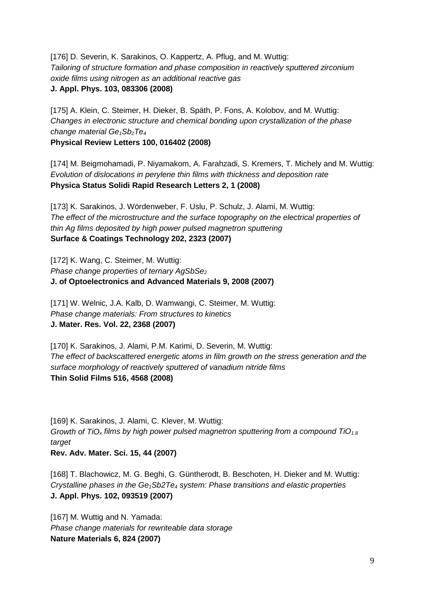[176] D. Severin, K. Sarakinos, O. Kappertz, A. Pflug, and M. Wuttig: *Tailoring of structure formation and phase composition in reactively sputtered zirconium oxide films using nitrogen as an additional reactive gas* **J. Appl. Phys. 103, 083306 (2008)**

[175] A. Klein, C. Steimer, H. Dieker, B. Späth, P. Fons, A. Kolobov, and M. Wuttig: *Changes in electronic structure and chemical bonding upon crystallization of the phase change material Ge1Sb2Te4*

**Physical Review Letters 100, 016402 (2008)**

[174] M. Beigmohamadi, P. Niyamakom, A. Farahzadi, S. Kremers, T. Michely and M. Wuttig: *Evolution of dislocations in perylene thin films with thickness and deposition rate* **Physica Status Solidi Rapid Research Letters 2, 1 (2008)** 

[173] K. Sarakinos, J. Wördenweber, F. Uslu, P. Schulz, J. Alami, M. Wuttig: *The effect of the microstructure and the surface topography on the electrical properties of thin Ag films deposited by high power pulsed magnetron sputtering*  **Surface & Coatings Technology 202, 2323 (2007)** 

[172] K. Wang, C. Steimer, M. Wuttig: **Phase change properties of ternary AgSbSe**<sub>2</sub> **J. of Optoelectronics and Advanced Materials 9, 2008 (2007)**

[171] W. Welnic, J.A. Kalb, D. Wamwangi, C. Steimer, M. Wuttig: *Phase change materials: From structures to kinetics*  **J. Mater. Res. Vol. 22, 2368 (2007)**

[170] K. Sarakinos, J. Alami, P.M. Karimi, D. Severin, M. Wuttig: *The effect of backscattered energetic atoms in film growth on the stress generation and the surface morphology of reactively sputtered of vanadium nitride films* **Thin Solid Films 516, 4568 (2008)**

[169] K. Sarakinos, J. Alami, C. Klever, M. Wuttig: *Growth of TiOx films by high power pulsed magnetron sputtering from a compound TiO1.8 target* **Rev. Adv. Mater. Sci. 15, 44 (2007)** 

[168] T. Blachowicz, M. G. Beghi, G. Güntherodt, B. Beschoten, H. Dieker and M. Wuttig: *Crystalline phases in the Ge1Sb2Te4 system: Phase transitions and elastic properties* **J. Appl. Phys. 102, 093519 (2007)**

[167] M. Wuttig and N. Yamada: *Phase change materials for rewriteable data storage* **Nature Materials 6, 824 (2007)**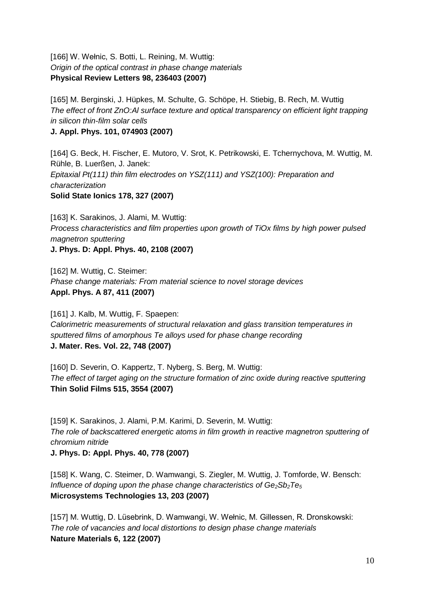[166] W. Wełnic, S. Botti, L. Reining, M. Wuttig: *Origin of the optical contrast in phase change materials* **Physical Review Letters 98, 236403 (2007)**

[165] M. Berginski, J. Hüpkes, M. Schulte, G. Schöpe, H. Stiebig, B. Rech, M. Wuttig *The effect of front ZnO:Al surface texture and optical transparency on efficient light trapping in silicon thin-film solar cells*

**J. Appl. Phys. 101, 074903 (2007)**

[164] G. Beck, H. Fischer, E. Mutoro, V. Srot, K. Petrikowski, E. Tchernychova, M. Wuttig, M. Rühle, B. Luerßen, J. Janek: *Epitaxial Pt(111) thin film electrodes on YSZ(111) and YSZ(100): Preparation and characterization*  **Solid State Ionics 178, 327 (2007)**

[163] K. Sarakinos, J. Alami, M. Wuttig: *Process characteristics and film properties upon growth of TiOx films by high power pulsed magnetron sputtering*  **J. Phys. D: Appl. Phys. 40, 2108 (2007)**

[162] M. Wuttig, C. Steimer: *Phase change materials: From material science to novel storage devices*  **Appl. Phys. A 87, 411 (2007)**

[161] J. Kalb, M. Wuttig, F. Spaepen: *Calorimetric measurements of structural relaxation and glass transition temperatures in sputtered films of amorphous Te alloys used for phase change recording*  **J. Mater. Res. Vol. 22, 748 (2007)**

[160] D. Severin, O. Kappertz, T. Nyberg, S. Berg, M. Wuttig: *The effect of target aging on the structure formation of zinc oxide during reactive sputtering* **Thin Solid Films 515, 3554 (2007)**

[159] K. Sarakinos, J. Alami, P.M. Karimi, D. Severin, M. Wuttig: *The role of backscattered energetic atoms in film growth in reactive magnetron sputtering of chromium nitride* **J. Phys. D: Appl. Phys. 40, 778 (2007)**

[158] K. Wang, C. Steimer, D. Wamwangi, S. Ziegler, M. Wuttig, J. Tomforde, W. Bensch: *Influence of doping upon the phase change characteristics of Ge<sub>2</sub>Sb<sub>2</sub>Te<sub>5</sub>* **Microsystems Technologies 13, 203 (2007)**

[157] M. Wuttig, D. Lüsebrink, D. Wamwangi, W. Wełnic, M. Gillessen, R. Dronskowski: *The role of vacancies and local distortions to design phase change materials* **Nature Materials 6, 122 (2007)**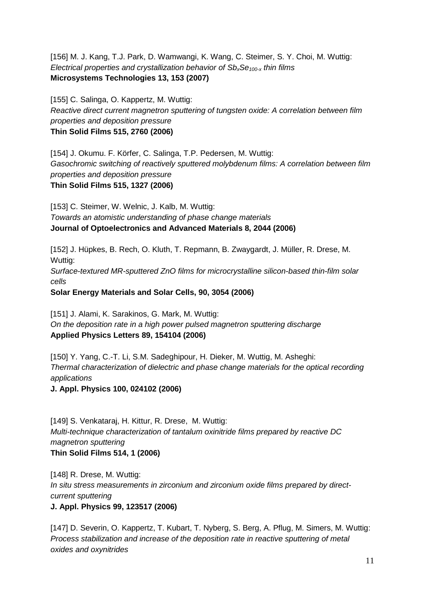[156] M. J. Kang, T.J. Park, D. Wamwangi, K. Wang, C. Steimer, S. Y. Choi, M. Wuttig: *Electrical properties and crystallization behavior of SbxSe100-x thin films*  **Microsystems Technologies 13, 153 (2007)**

[155] C. Salinga, O. Kappertz, M. Wuttig: *Reactive direct current magnetron sputtering of tungsten oxide: A correlation between film properties and deposition pressure* **Thin Solid Films 515, 2760 (2006)**

[154] J. Okumu. F. Körfer, C. Salinga, T.P. Pedersen, M. Wuttig: *Gasochromic switching of reactively sputtered molybdenum films: A correlation between film properties and deposition pressure* **Thin Solid Films 515, 1327 (2006)**

[153] C. Steimer, W. Welnic, J. Kalb, M. Wuttig: *Towards an atomistic understanding of phase change materials*  **Journal of Optoelectronics and Advanced Materials 8, 2044 (2006)**

[152] J. Hüpkes, B. Rech, O. Kluth, T. Repmann, B. Zwaygardt, J. Müller, R. Drese, M. Wuttig:

*Surface-textured MR-sputtered ZnO films for microcrystalline silicon-based thin-film solar cells*

**Solar Energy Materials and Solar Cells, 90, 3054 (2006)**

[151] J. Alami, K. Sarakinos, G. Mark, M. Wuttig: *On the deposition rate in a high power pulsed magnetron sputtering discharge* **Applied Physics Letters 89, 154104 (2006)**

[150] Y. Yang, C.-T. Li, S.M. Sadeghipour, H. Dieker, M. Wuttig, M. Asheghi: *Thermal characterization of dielectric and phase change materials for the optical recording applications*

**J. Appl. Physics 100, 024102 (2006)**

[149] S. Venkataraj, H. Kittur, R. Drese, M. Wuttig: *Multi-technique characterization of tantalum oxinitride films prepared by reactive DC magnetron sputtering* **Thin Solid Films 514, 1 (2006)**

[148] R. Drese, M. Wuttig: *In situ stress measurements in zirconium and zirconium oxide films prepared by directcurrent sputtering* **J. Appl. Physics 99, 123517 (2006)**

[147] D. Severin, O. Kappertz, T. Kubart, T. Nyberg, S. Berg, A. Pflug, M. Simers, M. Wuttig: *Process stabilization and increase of the deposition rate in reactive sputtering of metal oxides and oxynitrides*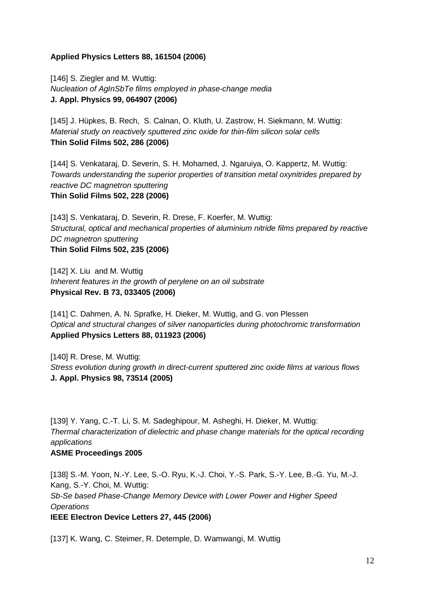## **Applied Physics Letters 88, 161504 (2006)**

[146] S. Ziegler and M. Wuttig: *[Nucleation of AgInSbTe films employed in phase-change media](http://wos.isiknowledge.com/?SID=V2g8GKABe6Ea@dibBOG&Func=Abstract&doc=1/3)* **J. Appl. Physics 99, 064907 (2006)**

[145] J. Hüpkes, B. Rech, S. Calnan, O. Kluth, U. Zastrow, H. Siekmann, M. Wuttig: *Material study on reactively sputtered zinc oxide for thin-film silicon solar cells*  **Thin Solid Films 502, 286 (2006)**

[144] S. Venkataraj, D. Severin, S. H. Mohamed, J. Ngaruiya, O. Kappertz, M. Wuttig: *Towards understanding the superior properties of transition metal oxynitrides prepared by reactive DC magnetron sputtering* **Thin Solid Films 502, 228 (2006)**

[143] S. Venkataraj, D. Severin, R. Drese, F. Koerfer, M. Wuttig: *Structural, optical and mechanical properties of aluminium nitride films prepared by reactive DC magnetron sputtering* **Thin Solid Films 502, 235 (2006)**

[142] X. Liu and M. Wuttig *Inherent features in the growth of perylene on an oil substrate* **Physical Rev. B 73, 033405 (2006)**

[141] C. Dahmen, A. N. Sprafke, H. Dieker, M. Wuttig, and G. von Plessen *Optical and structural changes of silver nanoparticles during photochromic transformation* **Applied Physics Letters 88, 011923 (2006)** 

[140] R. Drese, M. Wuttig: *Stress evolution during growth in direct-current sputtered zinc oxide films at various flows* **J. Appl. Physics 98, 73514 (2005)**

[139] Y. Yang, C.-T. Li, S. M. Sadeghipour, M. Asheghi, H. Dieker, M. Wuttig: *Thermal characterization of dielectric and phase change materials for the optical recording applications* **ASME Proceedings 2005**

[138] S.-M. Yoon, N.-Y. Lee, S.-O. Ryu, K.-J. Choi, Y.-S. Park, S.-Y. Lee, B.-G. Yu, M.-J. Kang, S.-Y. Choi, M. Wuttig: *Sb-Se based Phase-Change Memory Device with Lower Power and Higher Speed Operations* **IEEE Electron Device Letters 27, 445 (2006)**

[137] K. Wang, C. Steimer, R. Detemple, D. Wamwangi, M. Wuttig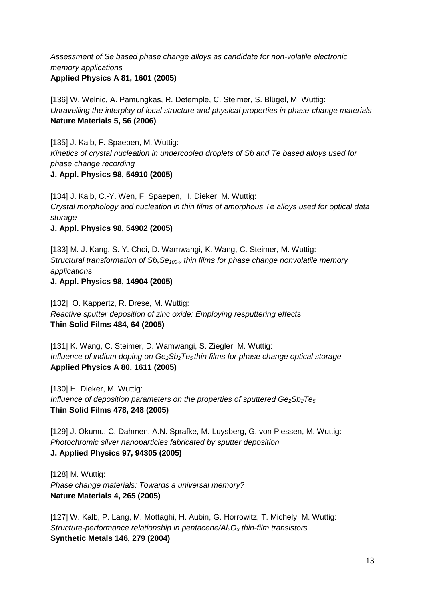*Assessment of Se based phase change alloys as candidate for non-volatile electronic memory applications*  **Applied Physics A 81, 1601 (2005)**

[136] W. Welnic, A. Pamungkas, R. Detemple, C. Steimer, S. Blügel, M. Wuttig: *Unravelling the interplay of local structure and physical properties in phase-change materials* **Nature Materials 5, 56 (2006)**

[135] J. Kalb, F. Spaepen, M. Wuttig: *Kinetics of crystal nucleation in undercooled droplets of Sb and Te based alloys used for phase change recording* **J. Appl. Physics 98, 54910 (2005)**

[134] J. Kalb, C.-Y. Wen, F. Spaepen, H. Dieker, M. Wuttig: *Crystal morphology and nucleation in thin films of amorphous Te alloys used for optical data storage*

**J. Appl. Physics 98, 54902 (2005)**

[133] M. J. Kang, S. Y. Choi, D. Wamwangi, K. Wang, C. Steimer, M. Wuttig: *Structural transformation of SbxSe100-x thin films for phase change nonvolatile memory applications*

**J. Appl. Physics 98, 14904 (2005)**

[132] O. Kappertz, R. Drese, M. Wuttig: *Reactive sputter deposition of zinc oxide: Employing resputtering effects* **Thin Solid Films 484, 64 (2005)** 

[131] K. Wang, C. Steimer, D. Wamwangi, S. Ziegler, M. Wuttig: *Influence of indium doping on Ge<sub>2</sub>Sb<sub>2</sub>Te<sub>5</sub> thin films for phase change optical storage* **Applied Physics A 80, 1611 (2005)**

[130] H. Dieker, M. Wuttig: *Influence of deposition parameters on the properties of sputtered Ge<sub>2</sub>Sb<sub>2</sub>Te<sub>5</sub>* **Thin Solid Films 478, 248 (2005)**

[129] J. Okumu, C. Dahmen, A.N. Sprafke, M. Luysberg, G. von Plessen, M. Wuttig: *Photochromic silver nanoparticles fabricated by sputter deposition*  **J. Applied Physics 97, 94305 (2005)**

[128] M. Wuttig: *Phase change materials: Towards a universal memory?*  **Nature Materials 4, 265 (2005)**

[127] W. Kalb, P. Lang, M. Mottaghi, H. Aubin, G. Horrowitz, T. Michely, M. Wuttig: *Structure-performance relationship in pentacene/Al2O3 thin-film transistors* **Synthetic Metals 146, 279 (2004)**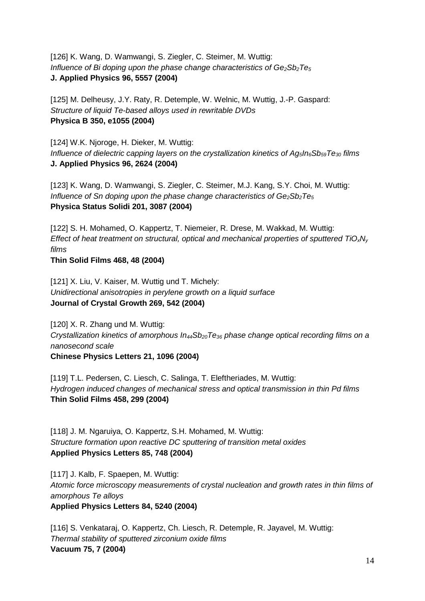[126] K. Wang, D. Wamwangi, S. Ziegler, C. Steimer, M. Wuttig: *Influence of Bi doping upon the phase change characteristics of Ge<sub>2</sub>Sb<sub>2</sub>Te<sub>5</sub>* **J. Applied Physics 96, 5557 (2004)**

[125] M. Delheusy, J.Y. Raty, R. Detemple, W. Welnic, M. Wuttig, J.-P. Gaspard: *Structure of liquid Te-based alloys used in rewritable DVDs* **Physica B 350, e1055 (2004)**

[124] W.K. Njoroge, H. Dieker, M. Wuttig: *Influence of dielectric capping layers on the crystallization kinetics of Ag5In6Sb59Te30 films* **J. Applied Physics 96, 2624 (2004)**

[123] K. Wang, D. Wamwangi, S. Ziegler, C. Steimer, M.J. Kang, S.Y. Choi, M. Wuttig: *Influence of Sn doping upon the phase change characteristics of Ge<sub>2</sub>Sb<sub>2</sub>Te<sub>5</sub></sub>* **Physica Status Solidi 201, 3087 (2004)**

[122] S. H. Mohamed, O. Kappertz, T. Niemeier, R. Drese, M. Wakkad, M. Wuttig: *Effect of heat treatment on structural, optical and mechanical properties of sputtered TiOxNy films*

**Thin Solid Films 468, 48 (2004)**

[121] X. Liu, V. Kaiser, M. Wuttig und T. Michely: *Unidirectional anisotropies in perylene growth on a liquid surface* **Journal of Crystal Growth 269, 542 (2004)**

[120] X. R. Zhang und M. Wuttig: *Crystallization kinetics of amorphous In44Sb20Te36 phase change optical recording films on a nanosecond scale*  **Chinese Physics Letters 21, 1096 (2004)**

[119] T.L. Pedersen, C. Liesch, C. Salinga, T. Eleftheriades, M. Wuttig: *Hydrogen induced changes of mechanical stress and optical transmission in thin Pd films*  **Thin Solid Films 458, 299 (2004)**

[118] J. M. Ngaruiya, O. Kappertz, S.H. Mohamed, M. Wuttig: *Structure formation upon reactive DC sputtering of transition metal oxides* **Applied Physics Letters 85, 748 (2004)** 

[117] J. Kalb, F. Spaepen, M. Wuttig: *Atomic force microscopy measurements of crystal nucleation and growth rates in thin films of amorphous Te alloys* **Applied Physics Letters 84, 5240 (2004)** 

[116] S. Venkataraj, O. Kappertz, Ch. Liesch, R. Detemple, R. Jayavel, M. Wuttig: *Thermal stability of sputtered zirconium oxide films*  **Vacuum 75, 7 (2004)**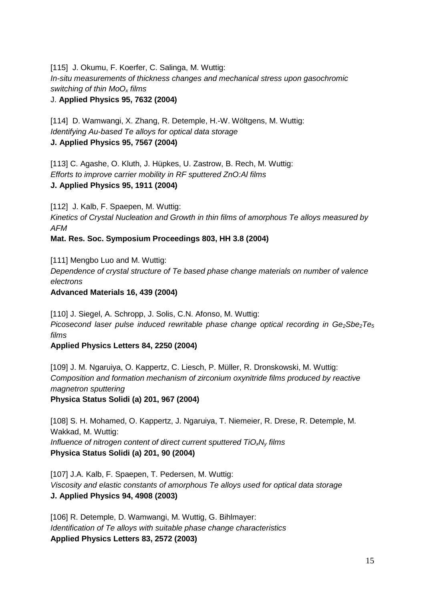[115] J. Okumu, F. Koerfer, C. Salinga, M. Wuttig: *In-situ measurements of thickness changes and mechanical stress upon gasochromic switching of thin MoOx films*  J. **Applied Physics 95, 7632 (2004)**

[114] D. Wamwangi, X. Zhang, R. Detemple, H.-W. Wöltgens, M. Wuttig: *Identifying Au-based Te alloys for optical data storage* **J. Applied Physics 95, 7567 (2004)**

[113] C. Agashe, O. Kluth, J. Hüpkes, U. Zastrow, B. Rech, M. Wuttig: *Efforts to improve carrier mobility in RF sputtered ZnO:Al films* **J. Applied Physics 95, 1911 (2004)**

[112] J. Kalb, F. Spaepen, M. Wuttig:

*Kinetics of Crystal Nucleation and Growth in thin films of amorphous Te alloys measured by AFM*

**Mat. Res. Soc. Symposium Proceedings 803, HH 3.8 (2004)**

[111] Mengbo Luo and M. Wuttig: *Dependence of crystal structure of Te based phase change materials on number of valence electrons* 

**Advanced Materials 16, 439 (2004)** 

[110] J. Siegel, A. Schropp, J. Solis, C.N. Afonso, M. Wuttig:

*Picosecond laser pulse induced rewritable phase change optical recording in Ge2Sbe2Te5 films* 

**Applied Physics Letters 84, 2250 (2004)**

[109] J. M. Ngaruiya, O. Kappertz, C. Liesch, P. Müller, R. Dronskowski, M. Wuttig: *Composition and formation mechanism of zirconium oxynitride films produced by reactive magnetron sputtering*  **Physica Status Solidi (a) 201, 967 (2004)**

[108] S. H. Mohamed, O. Kappertz, J. Ngaruiya, T. Niemeier, R. Drese, R. Detemple, M. Wakkad, M. Wuttig: *Influence of nitrogen content of direct current sputtered TiOxNy films*  **Physica Status Solidi (a) 201, 90 (2004)**

[107] J.A. Kalb, F. Spaepen, T. Pedersen, M. Wuttig: *Viscosity and elastic constants of amorphous Te alloys used for optical data storage* **J. Applied Physics 94, 4908 (2003)**

[106] R. Detemple, D. Wamwangi, M. Wuttig, G. Bihlmayer: *Identification of Te alloys with suitable phase change characteristics*  **Applied Physics Letters 83, 2572 (2003)**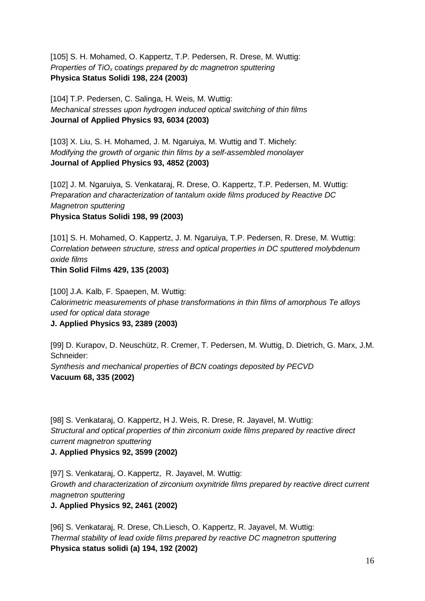[105] S. H. Mohamed, O. Kappertz, T.P. Pedersen, R. Drese, M. Wuttig: *Properties of TiOx coatings prepared by dc magnetron sputtering*  **Physica Status Solidi 198, 224 (2003)**

[104] T.P. Pedersen, C. Salinga, H. Weis, M. Wuttig: *Mechanical stresses upon hydrogen induced optical switching of thin films*  **Journal of Applied Physics 93, 6034 (2003)**

[103] X. Liu, S. H. Mohamed, J. M. Ngaruiya, M. Wuttig and T. Michely: *Modifying the growth of organic thin films by a self-assembled monolayer* **Journal of Applied Physics 93, 4852 (2003)**

[102] J. M. Ngaruiya, S. Venkataraj, R. Drese, O. Kappertz, T.P. Pedersen, M. Wuttig: *Preparation and characterization of tantalum oxide films produced by Reactive DC Magnetron sputtering* **Physica Status Solidi 198, 99 (2003)**

[101] S. H. Mohamed, O. Kappertz, J. M. Ngaruiya, T.P. Pedersen, R. Drese, M. Wuttig: *Correlation between structure, stress and optical properties in DC sputtered molybdenum oxide films* 

**Thin Solid Films 429, 135 (2003)**

[100] J.A. Kalb, F. Spaepen, M. Wuttig: *Calorimetric measurements of phase transformations in thin films of amorphous Te alloys used for optical data storage* **J. Applied Physics 93, 2389 (2003)** 

[99] D. Kurapov, D. Neuschütz, R. Cremer, T. Pedersen, M. Wuttig, D. Dietrich, G. Marx, J.M. Schneider: *Synthesis and mechanical properties of BCN coatings deposited by PECVD* **Vacuum 68, 335 (2002)**

[98] S. Venkataraj, O. Kappertz, H J. Weis, R. Drese, R. Jayavel, M. Wuttig: *Structural and optical properties of thin zirconium oxide films prepared by reactive direct current magnetron sputtering* **J. Applied Physics 92, 3599 (2002)** 

[97] S. Venkataraj, O. Kappertz, R. Jayavel, M. Wuttig: *Growth and characterization of zirconium oxynitride films prepared by reactive direct current magnetron sputtering*

**J. Applied Physics 92, 2461 (2002)**

[96] S. Venkataraj, R. Drese, Ch.Liesch, O. Kappertz, R. Jayavel, M. Wuttig: *Thermal stability of lead oxide films prepared by reactive DC magnetron sputtering* **Physica status solidi (a) 194, 192 (2002)**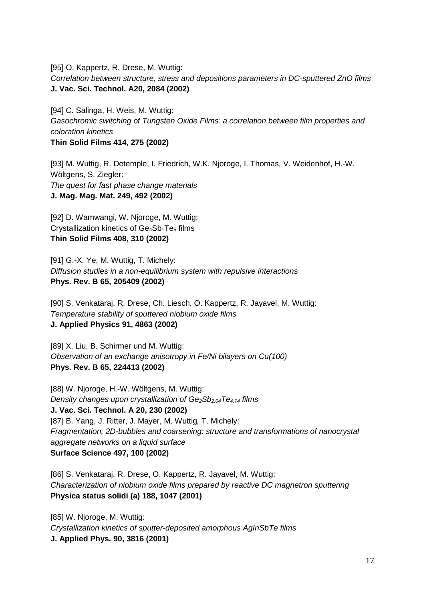[95] O. Kappertz, R. Drese, M. Wuttig: *Correlation between structure, stress and depositions parameters in DC-sputtered ZnO films* **J. Vac. Sci. Technol. A20, 2084 (2002)**

[94] C. Salinga, H. Weis, M. Wuttig: *Gasochromic switching of Tungsten Oxide Films: a correlation between film properties and coloration kinetics* **Thin Solid Films 414, 275 (2002)**

[93] M. Wuttig, R. Detemple, I. Friedrich, W.K. Njoroge, I. Thomas, V. Weidenhof, H.-W. Wöltgens, S. Ziegler: *The quest for fast phase change materials* **J. Mag. Mag. Mat. 249, 492 (2002)**

[92] D. Wamwangi, W. Njoroge, M. Wuttig: Crystallization kinetics of Ge<sub>4</sub>Sb<sub>1</sub>Te<sub>5</sub> films **Thin Solid Films 408, 310 (2002)**

[91] G.-X. Ye, M. Wuttig, T. Michely: *Diffusion studies in a non-equilibrium system with repulsive interactions* **Phys. Rev. B 65, 205409 (2002)**

[90] S. Venkataraj, R. Drese, Ch. Liesch, O. Kappertz, R. Jayavel, M. Wuttig: *Temperature stability of sputtered niobium oxide films* **J. Applied Physics 91, 4863 (2002)**

[89] X. Liu, B. Schirmer und M. Wuttig: *Observation of an exchange anisotropy in Fe/Ni bilayers on Cu(100)* **Phys. Rev. B 65, 224413 (2002)**

[88] W. Njoroge, H.-W. Wöltgens, M. Wuttig: *Density changes upon crystallization of Ge2Sb2.04Te4.74 films* **J. Vac. Sci. Technol. A 20, 230 (2002)**  [87] B. Yang, J. Ritter, J. Mayer, M. Wuttig*,* T. Michely: *Fragmentation, 2D-bubbles and coarsening: structure and transformations of nanocrystal aggregate networks on a liquid surface* **Surface Science 497, 100 (2002)**

[86] S. Venkataraj, R. Drese, O. Kappertz, R. Jayavel, M. Wuttig: *Characterization of niobium oxide films prepared by reactive DC magnetron sputtering* **Physica status solidi (a) 188, 1047 (2001)** 

[85] W. Njoroge, M. Wuttig: *Crystallization kinetics of sputter-deposited amorphous AgInSbTe films* **J. Applied Phys. 90, 3816 (2001)**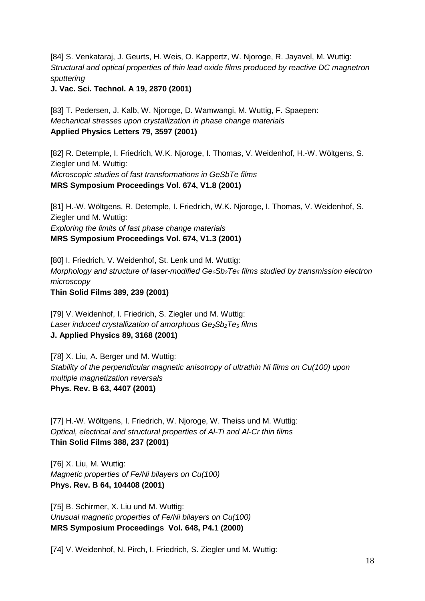[84] S. Venkataraj, J. Geurts, H. Weis, O. Kappertz, W. Njoroge, R. Jayavel, M. Wuttig: *Structural and optical properties of thin lead oxide films produced by reactive DC magnetron sputtering*

**J. Vac. Sci. Technol. A 19, 2870 (2001)**

[83] T. Pedersen, J. Kalb, W. Njoroge, D. Wamwangi, M. Wuttig, F. Spaepen: *Mechanical stresses upon crystallization in phase change materials* **Applied Physics Letters 79, 3597 (2001)** 

[82] R. Detemple, I. Friedrich, W.K. Njoroge, I. Thomas, V. Weidenhof, H.-W. Wöltgens, S. Ziegler und M. Wuttig: *Microscopic studies of fast transformations in GeSbTe films* **MRS Symposium Proceedings Vol. 674, V1.8 (2001)**

[81] H.-W. Wöltgens, R. Detemple, I. Friedrich, W.K. Njoroge, I. Thomas, V. Weidenhof, S. Ziegler und M. Wuttig: *Exploring the limits of fast phase change materials* **MRS Symposium Proceedings Vol. 674, V1.3 (2001)**

[80] I. Friedrich, V. Weidenhof, St. Lenk und M. Wuttig: *Morphology and structure of laser-modified Ge2Sb2Te5 films studied by transmission electron microscopy*

**Thin Solid Films 389, 239 (2001)**

[79] V. Weidenhof, I. Friedrich, S. Ziegler und M. Wuttig: Laser *induced crystallization of amorphous Ge*<sub>2</sub>Sb<sub>2</sub>Te<sub>5</sub> *films* **J. Applied Physics 89, 3168 (2001)**

[78] X. Liu, A. Berger und M. Wuttig: *Stability of the perpendicular magnetic anisotropy of ultrathin Ni films on Cu(100) upon multiple magnetization reversals* **Phys. Rev. B 63, 4407 (2001)**

[77] H.-W. Wöltgens, I. Friedrich, W. Njoroge, W. Theiss und M. Wuttig: *Optical, electrical and structural properties of Al-Ti and Al-Cr thin films* **Thin Solid Films 388, 237 (2001)**

[76] X. Liu, M. Wuttig: *Magnetic properties of Fe/Ni bilayers on Cu(100)* **Phys. Rev. B 64, 104408 (2001)**

[75] B. Schirmer, X. Liu und M. Wuttig: *Unusual magnetic properties of Fe/Ni bilayers on Cu(100)* **MRS Symposium Proceedings Vol. 648, P4.1 (2000)**

[74] V. Weidenhof, N. Pirch, I. Friedrich, S. Ziegler und M. Wuttig: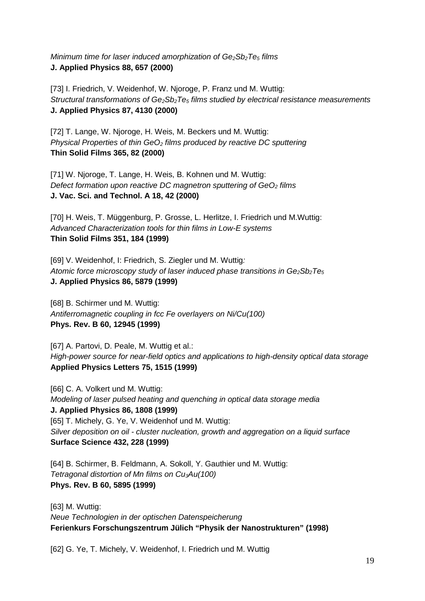*Minimum time for laser induced amorphization of Ge<sub>2</sub>Sb<sub>2</sub>Te<sub>5</sub> <i>films* **J. Applied Physics 88, 657 (2000)**

[73] I. Friedrich, V. Weidenhof, W. Njoroge, P. Franz und M. Wuttig: *Structural transformations of Ge2Sb2Te5 films studied by electrical resistance measurements* **J. Applied Physics 87, 4130 (2000)** 

[72] T. Lange, W. Njoroge, H. Weis, M. Beckers und M. Wuttig: *Physical Properties of thin GeO2 films produced by reactive DC sputtering*  **Thin Solid Films 365, 82 (2000)**

[71] W. Njoroge, T. Lange, H. Weis, B. Kohnen und M. Wuttig: *Defect formation upon reactive DC magnetron sputtering of GeO<sub>2</sub> films* **J. Vac. Sci. and Technol. A 18, 42 (2000)** 

[70] H. Weis, T. Müggenburg, P. Grosse, L. Herlitze, I. Friedrich und M. Wuttig: *Advanced Characterization tools for thin films in Low-E systems* **Thin Solid Films 351, 184 (1999)**

[69] V. Weidenhof, I: Friedrich, S. Ziegler und M. Wuttig*: Atomic force microscopy study of laser induced phase transitions in Ge<sub>2</sub>Sb<sub>2</sub>Te<sub>5</sub>* **J. Applied Physics 86, 5879 (1999)** 

[68] B. Schirmer und M. Wuttig: *Antiferromagnetic coupling in fcc Fe overlayers on Ni/Cu(100)* **Phys. Rev. B 60, 12945 (1999)**

[67] A. Partovi, D. Peale, M. Wuttig et al.: *High-power source for near-field optics and applications to high-density optical data storage* **Applied Physics Letters 75, 1515 (1999)**

[66] C. A. Volkert und M. Wuttig: *Modeling of laser pulsed heating and quenching in optical data storage media* **J. Applied Physics 86, 1808 (1999)** [65] T. Michely, G. Ye, V. Weidenhof und M. Wuttig: *Silver deposition on oil - cluster nucleation, growth and aggregation on a liquid surface* **Surface Science 432, 228 (1999)**

[64] B. Schirmer, B. Feldmann, A. Sokoll, Y. Gauthier und M. Wuttig: *Tetragonal distortion of Mn films on Cu3Au(100)* **Phys. Rev. B 60, 5895 (1999)**

[63] M. Wuttig: *Neue Technologien in der optischen Datenspeicherung* **Ferienkurs Forschungszentrum Jülich "Physik der Nanostrukturen" (1998)**

[62] G. Ye, T. Michely, V. Weidenhof, I. Friedrich und M. Wuttig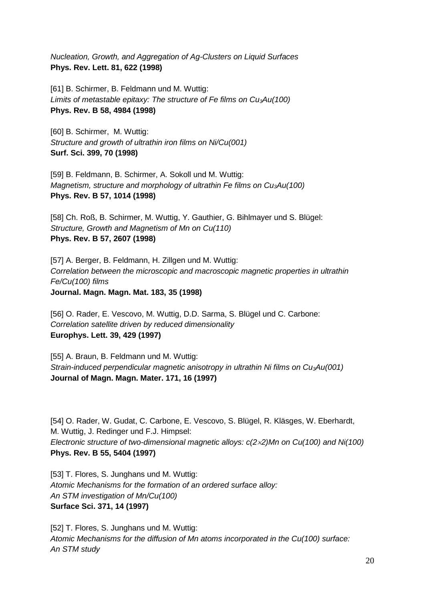*Nucleation, Growth, and Aggregation of Ag-Clusters on Liquid Surfaces* **Phys. Rev. Lett. 81, 622 (1998)**

[61] B. Schirmer, B. Feldmann und M. Wuttig: *Limits of metastable epitaxy: The structure of Fe films on Cu3Au(100)* **Phys. Rev. B 58, 4984 (1998)**

[60] B. Schirmer, M. Wuttig: *Structure and growth of ultrathin iron films on Ni/Cu(001)* **Surf. Sci. 399, 70 (1998)**

[59] B. Feldmann, B. Schirmer, A. Sokoll und M. Wuttig: *Magnetism, structure and morphology of ultrathin Fe films on Cu3Au(100)* **Phys. Rev. B 57, 1014 (1998)**

[58] Ch. Roß, B. Schirmer, M. Wuttig, Y. Gauthier, G. Bihlmayer und S. Blügel: *Structure, Growth and Magnetism of Mn on Cu(110)* **Phys. Rev. B 57, 2607 (1998)**

[57] A. Berger, B. Feldmann, H. Zillgen und M. Wuttig: *Correlation between the microscopic and macroscopic magnetic properties in ultrathin Fe/Cu(100) films* **Journal. Magn. Magn. Mat. 183, 35 (1998)**

[56] O. Rader, E. Vescovo, M. Wuttig, D.D. Sarma, S. Blügel und C. Carbone: *Correlation satellite driven by reduced dimensionality* **Europhys. Lett. 39, 429 (1997)**

[55] A. Braun, B. Feldmann und M. Wuttig: *Strain-induced perpendicular magnetic anisotropy in ultrathin Ni films on Cu3Au(001)* **Journal of Magn. Magn. Mater. 171, 16 (1997)**

[54] O. Rader, W. Gudat, C. Carbone, E. Vescovo, S. Blügel, R. Kläsges, W. Eberhardt, M. Wuttig, J. Redinger und F.J. Himpsel: *Electronic structure of two-dimensional magnetic alloys: c(2*×*2)Mn on Cu(100) and Ni(100)* **Phys. Rev. B 55, 5404 (1997)** 

[53] T. Flores, S. Junghans und M. Wuttig: *Atomic Mechanisms for the formation of an ordered surface alloy: An STM investigation of Mn/Cu(100)* **Surface Sci. 371, 14 (1997)**

[52] T. Flores, S. Junghans und M. Wuttig: *Atomic Mechanisms for the diffusion of Mn atoms incorporated in the Cu(100) surface: An STM study*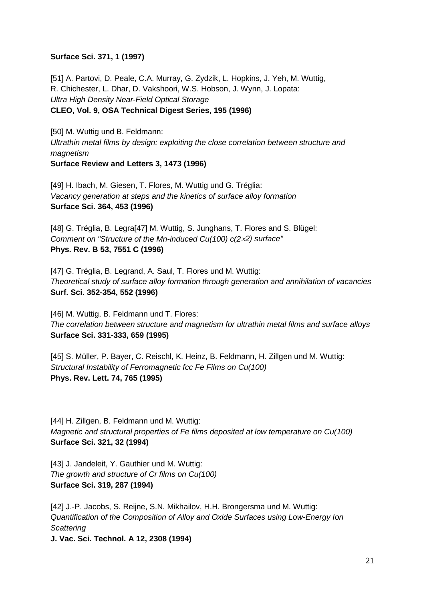## **Surface Sci. 371, 1 (1997)**

[51] A. Partovi, D. Peale, C.A. Murray, G. Zydzik, L. Hopkins, J. Yeh, M. Wuttig, R. Chichester, L. Dhar, D. Vakshoori, W.S. Hobson, J. Wynn, J. Lopata: *Ultra High Density Near-Field Optical Storage* **CLEO, Vol. 9, OSA Technical Digest Series, 195 (1996)**

[50] M. Wuttig und B. Feldmann: *Ultrathin metal films by design: exploiting the close correlation between structure and magnetism* **Surface Review and Letters 3, 1473 (1996)**

[49] H. Ibach, M. Giesen, T. Flores, M. Wuttig und G. Tréglia: *Vacancy generation at steps and the kinetics of surface alloy formation*  **Surface Sci. 364, 453 (1996)**

[48] G. Tréglia, B. Legra[47] M. Wuttig, S. Junghans, T. Flores and S. Blügel: *Comment on "Structure of the Mn-induced Cu(100) c(2*×*2) surface"* **Phys. Rev. B 53, 7551 C (1996)**

[47] G. Tréglia, B. Legrand, A. Saul, T. Flores und M. Wuttig: *Theoretical study of surface alloy formation through generation and annihilation of vacancies* **Surf. Sci. 352-354, 552 (1996)**

[46] M. Wuttig, B. Feldmann und T. Flores: *The correlation between structure and magnetism for ultrathin metal films and surface alloys* **Surface Sci. 331-333, 659 (1995)**

[45] S. Müller, P. Bayer, C. Reischl, K. Heinz, B. Feldmann, H. Zillgen und M. Wuttig: *Structural Instability of Ferromagnetic fcc Fe Films on Cu(100)* **Phys. Rev. Lett. 74, 765 (1995)**

[44] H. Zillgen, B. Feldmann und M. Wuttig: *Magnetic and structural properties of Fe films deposited at low temperature on Cu(100)* **Surface Sci. 321, 32 (1994)**

[43] J. Jandeleit, Y. Gauthier und M. Wuttig: *The growth and structure of Cr films on Cu(100)* **Surface Sci. 319, 287 (1994)**

[42] J.-P. Jacobs, S. Reijne, S.N. Mikhailov, H.H. Brongersma und M. Wuttig: *Quantification of the Composition of Alloy and Oxide Surfaces using Low-Energy Ion Scattering*

**J. Vac. Sci. Technol. A 12, 2308 (1994)**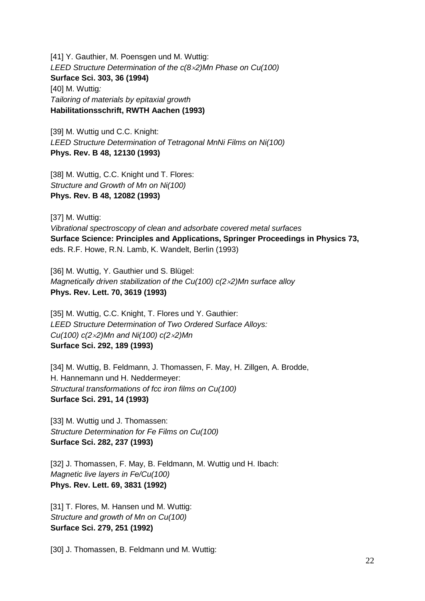[41] Y. Gauthier, M. Poensgen und M. Wuttig: *LEED Structure Determination of the c(8*×*2)Mn Phase on Cu(100)* **Surface Sci. 303, 36 (1994)** [40] M. Wuttig*: Tailoring of materials by epitaxial growth* **Habilitationsschrift, RWTH Aachen (1993)**

[39] M. Wuttig und C.C. Knight: *LEED Structure Determination of Tetragonal MnNi Films on Ni(100)* **Phys. Rev. B 48, 12130 (1993)**

[38] M. Wuttig, C.C. Knight und T. Flores: *Structure and Growth of Mn on Ni(100)* **Phys. Rev. B 48, 12082 (1993)**

[37] M. Wuttig:

*Vibrational spectroscopy of clean and adsorbate covered metal surfaces* **Surface Science: Principles and Applications, Springer Proceedings in Physics 73,** eds. R.F. Howe, R.N. Lamb, K. Wandelt, Berlin (1993)

[36] M. Wuttig, Y. Gauthier und S. Blügel: *Magnetically driven stabilization of the Cu(100) c(2*×*2)Mn surface alloy* **Phys. Rev. Lett. 70, 3619 (1993)**

[35] M. Wuttig, C.C. Knight, T. Flores und Y. Gauthier: *LEED Structure Determination of Two Ordered Surface Alloys: Cu(100) c(2*×*2)Mn and Ni(100) c(2*×*2)Mn* **Surface Sci. 292, 189 (1993)**

[34] M. Wuttig, B. Feldmann, J. Thomassen, F. May, H. Zillgen, A. Brodde, H. Hannemann und H. Neddermeyer: *Structural transformations of fcc iron films on Cu(100)* **Surface Sci. 291, 14 (1993)**

[33] M. Wuttig und J. Thomassen: *Structure Determination for Fe Films on Cu(100)* **Surface Sci. 282, 237 (1993)**

[32] J. Thomassen, F. May, B. Feldmann, M. Wuttig und H. Ibach: *Magnetic live layers in Fe/Cu(100)* **Phys. Rev. Lett. 69, 3831 (1992)**

[31] T. Flores, M. Hansen und M. Wuttig: *Structure and growth of Mn on Cu(100)* **Surface Sci. 279, 251 (1992)**

[30] J. Thomassen, B. Feldmann und M. Wuttig: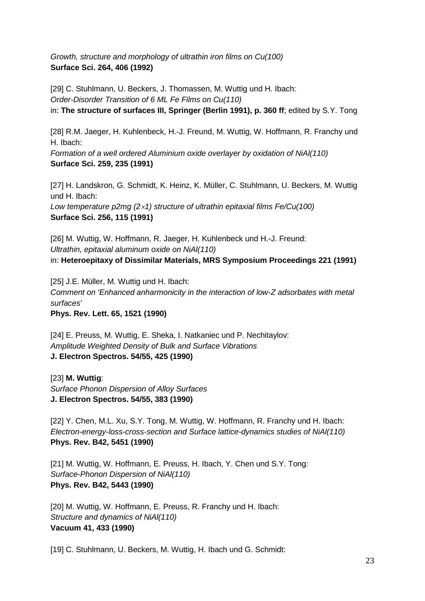*Growth, structure and morphology of ultrathin iron films on Cu(100)* **Surface Sci. 264, 406 (1992)**

[29] C. Stuhlmann, U. Beckers, J. Thomassen, M. Wuttig und H. Ibach: *Order-Disorder Transition of 6 ML Fe Films on Cu(110)* in: **The structure of surfaces III, Springer (Berlin 1991), p. 360 ff**; edited by S.Y. Tong

[28] R.M. Jaeger, H. Kuhlenbeck, H.-J. Freund, M. Wuttig, W. Hoffmann, R. Franchy und H. Ibach:

*Formation of a well ordered Aluminium oxide overlayer by oxidation of NiAl(110)* **Surface Sci. 259, 235 (1991)**

[27] H. Landskron, G. Schmidt, K. Heinz, K. Müller, C. Stuhlmann, U. Beckers, M. Wuttig und H. Ibach: *Low temperature p2mg (2*×*1) structure of ultrathin epitaxial films Fe/Cu(100)* **Surface Sci. 256, 115 (1991)**

[26] M. Wuttig, W. Hoffmann, R. Jaeger, H. Kuhlenbeck und H.-J. Freund: *Ultrathin, epitaxial aluminum oxide on NiAl(110)* in: **Heteroepitaxy of Dissimilar Materials, MRS Symposium Proceedings 221 (1991)**

[25] J.E. Müller, M. Wuttig und H. Ibach: *Comment on 'Enhanced anharmonicity in the interaction of low-Z adsorbates with metal surfaces'* **Phys. Rev. Lett. 65, 1521 (1990)**

[24] E. Preuss, M. Wuttig, E. Sheka, I. Natkaniec und P. Nechitaylov: *Amplitude Weighted Density of Bulk and Surface Vibrations* **J. Electron Spectros. 54/55, 425 (1990)**

[23] **M. Wuttig**: *Surface Phonon Dispersion of Alloy Surfaces* **J. Electron Spectros. 54/55, 383 (1990)**

[22] Y. Chen, M.L. Xu, S.Y. Tong, M. Wuttig, W. Hoffmann, R. Franchy und H. Ibach: *Electron-energy-loss-cross-section and Surface lattice-dynamics studies of NiAl(110)* **Phys. Rev. B42, 5451 (1990)**

[21] M. Wuttig, W. Hoffmann, E. Preuss, H. Ibach, Y. Chen und S.Y. Tong: *Surface-Phonon Dispersion of NiAl(110)* **Phys. Rev. B42, 5443 (1990)**

[20] M. Wuttig, W. Hoffmann, E. Preuss, R. Franchy und H. Ibach: *Structure and dynamics of NiAl(110)* **Vacuum 41, 433 (1990)**

[19] C. Stuhlmann, U. Beckers, M. Wuttig, H. Ibach und G. Schmidt: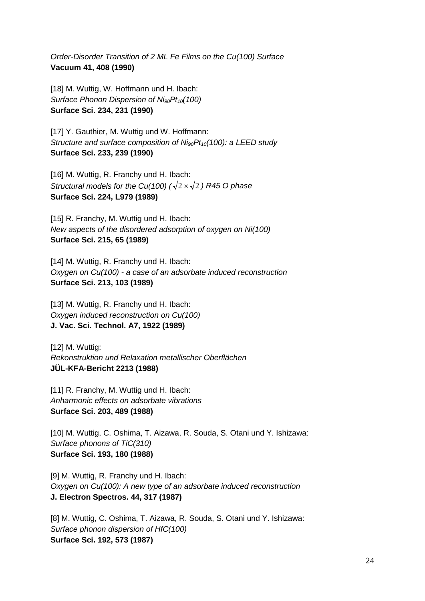*Order-Disorder Transition of 2 ML Fe Films on the Cu(100) Surface* **Vacuum 41, 408 (1990)**

[18] M. Wuttig, W. Hoffmann und H. Ibach: *Surface Phonon Dispersion of Ni90Pt10(100)* **Surface Sci. 234, 231 (1990)**

[17] Y. Gauthier, M. Wuttig und W. Hoffmann: *Structure and surface composition of Ni<sub>90</sub>Pt<sub>10</sub>(100): a LEED study* **Surface Sci. 233, 239 (1990)**

[16] M. Wuttig, R. Franchy und H. Ibach: *Structural models for the Cu(100) (* $\sqrt{2} \times \sqrt{2}$ *) R45 O phase* **Surface Sci. 224, L979 (1989)**

[15] R. Franchy, M. Wuttig und H. Ibach: *New aspects of the disordered adsorption of oxygen on Ni(100)* **Surface Sci. 215, 65 (1989)**

[14] M. Wuttig, R. Franchy und H. Ibach: *Oxygen on Cu(100) - a case of an adsorbate induced reconstruction* **Surface Sci. 213, 103 (1989)**

[13] M. Wuttig, R. Franchy und H. Ibach: *Oxygen induced reconstruction on Cu(100)* **J. Vac. Sci. Technol. A7, 1922 (1989)**

[12] M. Wuttig: *Rekonstruktion und Relaxation metallischer Oberflächen* **JÜL-KFA-Bericht 2213 (1988)**

[11] R. Franchy, M. Wuttig und H. Ibach: *Anharmonic effects on adsorbate vibrations* **Surface Sci. 203, 489 (1988)**

[10] M. Wuttig, C. Oshima, T. Aizawa, R. Souda, S. Otani und Y. Ishizawa: *Surface phonons of TiC(310)* **Surface Sci. 193, 180 (1988)**

[9] M. Wuttig, R. Franchy und H. Ibach: *Oxygen on Cu(100): A new type of an adsorbate induced reconstruction* **J. Electron Spectros. 44, 317 (1987)**

[8] M. Wuttig, C. Oshima, T. Aizawa, R. Souda, S. Otani und Y. Ishizawa: *Surface phonon dispersion of HfC(100)* **Surface Sci. 192, 573 (1987)**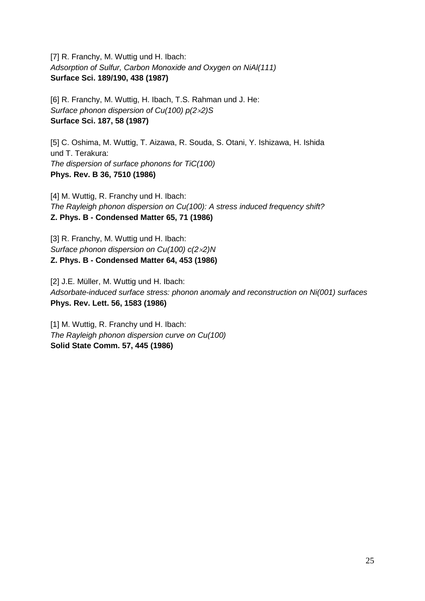[7] R. Franchy, M. Wuttig und H. Ibach: *Adsorption of Sulfur, Carbon Monoxide and Oxygen on NiAl(111)* **Surface Sci. 189/190, 438 (1987)**

[6] R. Franchy, M. Wuttig, H. Ibach, T.S. Rahman und J. He: *Surface phonon dispersion of Cu(100) p(2*×*2)S* **Surface Sci. 187, 58 (1987)**

[5] C. Oshima, M. Wuttig, T. Aizawa, R. Souda, S. Otani, Y. Ishizawa, H. Ishida und T. Terakura: *The dispersion of surface phonons for TiC(100)* **Phys. Rev. B 36, 7510 (1986)**

[4] M. Wuttig, R. Franchy und H. Ibach: *The Rayleigh phonon dispersion on Cu(100): A stress induced frequency shift?* **Z. Phys. B - Condensed Matter 65, 71 (1986)**

[3] R. Franchy, M. Wuttig und H. Ibach: *Surface phonon dispersion on Cu(100) c(2*×*2)N* **Z. Phys. B - Condensed Matter 64, 453 (1986)**

[2] J.E. Müller, M. Wuttig und H. Ibach: *Adsorbate-induced surface stress: phonon anomaly and reconstruction on Ni(001) surfaces* **Phys. Rev. Lett. 56, 1583 (1986)**

[1] M. Wuttig, R. Franchy und H. Ibach: *The Rayleigh phonon dispersion curve on Cu(100)* **Solid State Comm. 57, 445 (1986)**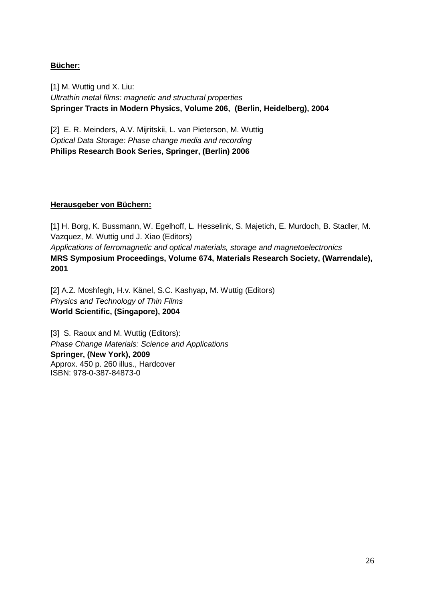# **Bücher:**

[1] M. Wuttig und X. Liu: *Ultrathin metal films: magnetic and structural properties*  **Springer Tracts in Modern Physics, Volume 206, (Berlin, Heidelberg), 2004**

[2] E. R. Meinders, A.V. Mijritskii, L. van Pieterson, M. Wuttig *Optical Data Storage: Phase change media and recording* **Philips Research Book Series, Springer, (Berlin) 2006** 

## **Herausgeber von Büchern:**

[1] H. Borg, K. Bussmann, W. Egelhoff, L. Hesselink, S. Majetich, E. Murdoch, B. Stadler, M. Vazquez, M. Wuttig und J. Xiao (Editors) *Applications of ferromagnetic and optical materials, storage and magnetoelectronics* **MRS Symposium Proceedings, Volume 674, Materials Research Society, (Warrendale), 2001** 

[2] A.Z. Moshfegh, H.v. Känel, S.C. Kashyap, M. Wuttig (Editors) *Physics and Technology of Thin Films* **World Scientific, (Singapore), 2004** 

[3] S. Raoux and M. Wuttig (Editors): *Phase Change Materials: Science and Applications* **Springer, (New York), 2009**  Approx. 450 p. 260 illus., Hardcover ISBN: 978-0-387-84873-0